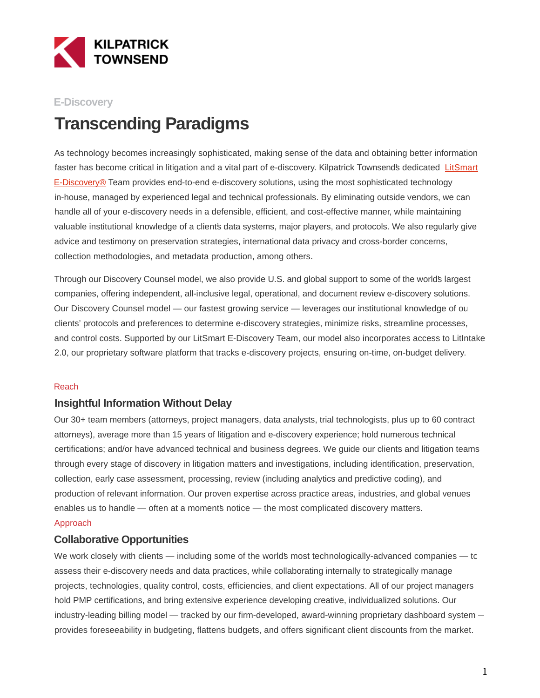

### **E-Discovery**

# **Transcending Paradigms**

As technology becomes increasingly sophisticated, making sense of the data and obtaining better information faster has become critical in litigation and a vital part of e-discovery. Kilpatrick Townsend's dedicated [LitSmart](https://www.ktlitsmart.com/) E-Discovery® Team provides end-to-end e-discovery solutions, using the most sophisticated technology in-house, managed by experienced legal and technical professionals. By eliminating outside vendors, we can handle all of your e-discovery needs in a defensible, efficient, and cost-effective manner, while maintaining valuable institutional knowledge of a clients data systems, major players, and protocols. We also regularly give advice and testimony on preservation strategies, international data privacy and cross-border concerns, collection methodologies, and metadata production, among others.

Through our Discovery Counsel model, we also provide U.S. and global support to some of the world's largest companies, offering independent, all-inclusive legal, operational, and document review e-discovery solutions. Our Discovery Counsel model — our fastest growing service — leverages our institutional knowledge of our clients' protocols and preferences to determine e-discovery strategies, minimize risks, streamline processes, and control costs. Supported by our LitSmart E-Discovery Team, our model also incorporates access to LitIntake 2.0, our proprietary software platform that tracks e-discovery projects, ensuring on-time, on-budget delivery.

#### Reach

### **Insightful Information Without Delay**

Our 30+ team members (attorneys, project managers, data analysts, trial technologists, plus up to 60 contract attorneys), average more than 15 years of litigation and e-discovery experience; hold numerous technical certifications; and/or have advanced technical and business degrees. We guide our clients and litigation teams through every stage of discovery in litigation matters and investigations, including identification, preservation, collection, early case assessment, processing, review (including analytics and predictive coding), and production of relevant information. Our proven expertise across practice areas, industries, and global venues enables us to handle — often at a moments notice — the most complicated discovery matters.

#### Approach

#### **Collaborative Opportunities**

We work closely with clients — including some of the world's most technologically-advanced companies — to assess their e-discovery needs and data practices, while collaborating internally to strategically manage projects, technologies, quality control, costs, efficiencies, and client expectations. All of our project managers hold PMP certifications, and bring extensive experience developing creative, individualized solutions. Our industry-leading billing model — tracked by our firm-developed, award-winning proprietary dashboard system provides foreseeability in budgeting, flattens budgets, and offers significant client discounts from the market.